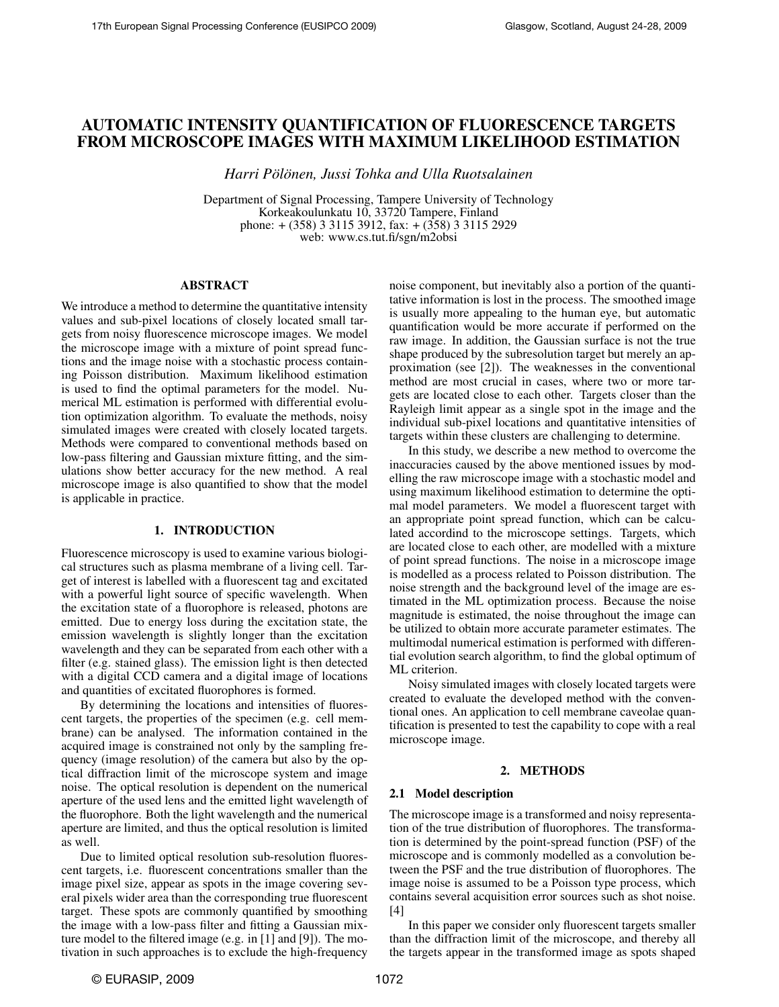# AUTOMATIC INTENSITY QUANTIFICATION OF FLUORESCENCE TARGETS FROM MICROSCOPE IMAGES WITH MAXIMUM LIKELIHOOD ESTIMATION

*Harri Pölönen, Jussi Tohka and Ulla Ruotsalainen* 

Department of Signal Processing, Tampere University of Technology Korkeakoulunkatu 10, 33720 Tampere, Finland phone: + (358) 3 3115 3912, fax: + (358) 3 3115 2929 web: www.cs.tut.fi/sgn/m2obsi

## ABSTRACT

We introduce a method to determine the quantitative intensity values and sub-pixel locations of closely located small targets from noisy fluorescence microscope images. We model the microscope image with a mixture of point spread functions and the image noise with a stochastic process containing Poisson distribution. Maximum likelihood estimation is used to find the optimal parameters for the model. Numerical ML estimation is performed with differential evolution optimization algorithm. To evaluate the methods, noisy simulated images were created with closely located targets. Methods were compared to conventional methods based on low-pass filtering and Gaussian mixture fitting, and the simulations show better accuracy for the new method. A real microscope image is also quantified to show that the model is applicable in practice.

#### 1. INTRODUCTION

Fluorescence microscopy is used to examine various biological structures such as plasma membrane of a living cell. Target of interest is labelled with a fluorescent tag and excitated with a powerful light source of specific wavelength. When the excitation state of a fluorophore is released, photons are emitted. Due to energy loss during the excitation state, the emission wavelength is slightly longer than the excitation wavelength and they can be separated from each other with a filter (e.g. stained glass). The emission light is then detected with a digital CCD camera and a digital image of locations and quantities of excitated fluorophores is formed.

By determining the locations and intensities of fluorescent targets, the properties of the specimen (e.g. cell membrane) can be analysed. The information contained in the acquired image is constrained not only by the sampling frequency (image resolution) of the camera but also by the optical diffraction limit of the microscope system and image noise. The optical resolution is dependent on the numerical aperture of the used lens and the emitted light wavelength of the fluorophore. Both the light wavelength and the numerical aperture are limited, and thus the optical resolution is limited as well.

Due to limited optical resolution sub-resolution fluorescent targets, i.e. fluorescent concentrations smaller than the image pixel size, appear as spots in the image covering several pixels wider area than the corresponding true fluorescent target. These spots are commonly quantified by smoothing the image with a low-pass filter and fitting a Gaussian mixture model to the filtered image (e.g. in [1] and [9]). The motivation in such approaches is to exclude the high-frequency

noise component, but inevitably also a portion of the quantitative information is lost in the process. The smoothed image is usually more appealing to the human eye, but automatic quantification would be more accurate if performed on the raw image. In addition, the Gaussian surface is not the true shape produced by the subresolution target but merely an approximation (see [2]). The weaknesses in the conventional method are most crucial in cases, where two or more targets are located close to each other. Targets closer than the Rayleigh limit appear as a single spot in the image and the individual sub-pixel locations and quantitative intensities of targets within these clusters are challenging to determine.

In this study, we describe a new method to overcome the inaccuracies caused by the above mentioned issues by modelling the raw microscope image with a stochastic model and using maximum likelihood estimation to determine the optimal model parameters. We model a fluorescent target with an appropriate point spread function, which can be calculated accordind to the microscope settings. Targets, which are located close to each other, are modelled with a mixture of point spread functions. The noise in a microscope image is modelled as a process related to Poisson distribution. The noise strength and the background level of the image are estimated in the ML optimization process. Because the noise magnitude is estimated, the noise throughout the image can be utilized to obtain more accurate parameter estimates. The multimodal numerical estimation is performed with differential evolution search algorithm, to find the global optimum of ML criterion.

Noisy simulated images with closely located targets were created to evaluate the developed method with the conventional ones. An application to cell membrane caveolae quantification is presented to test the capability to cope with a real microscope image.

#### 2. METHODS

#### 2.1 Model description

The microscope image is a transformed and noisy representation of the true distribution of fluorophores. The transformation is determined by the point-spread function (PSF) of the microscope and is commonly modelled as a convolution between the PSF and the true distribution of fluorophores. The image noise is assumed to be a Poisson type process, which contains several acquisition error sources such as shot noise. [4]

In this paper we consider only fluorescent targets smaller than the diffraction limit of the microscope, and thereby all the targets appear in the transformed image as spots shaped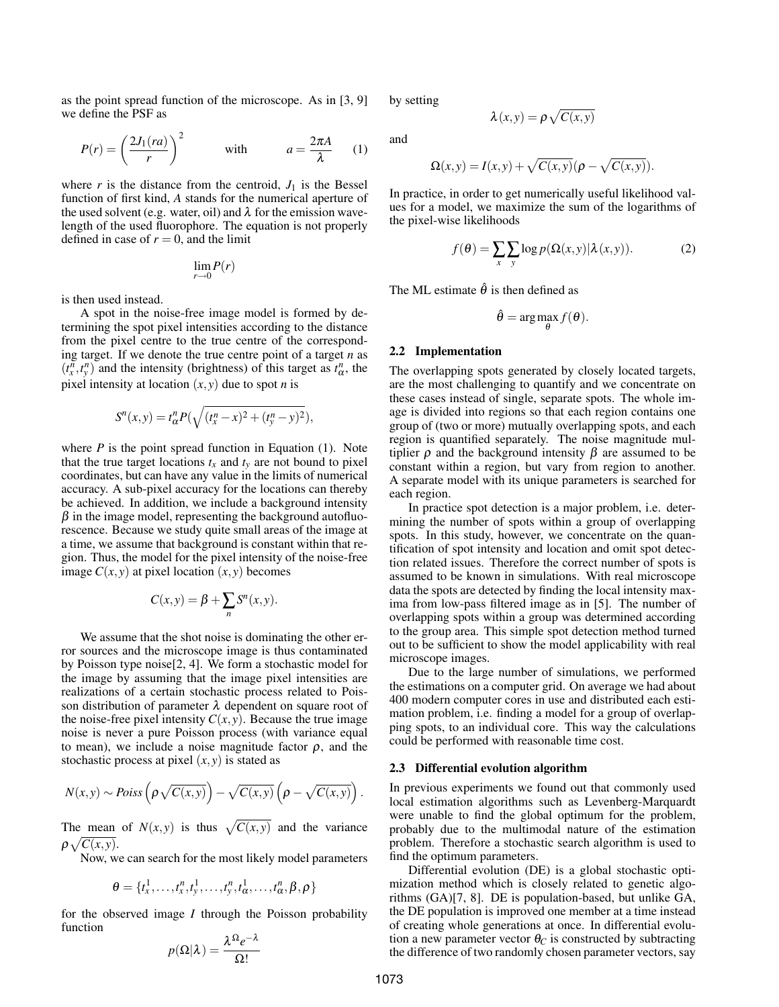as the point spread function of the microscope. As in [3, 9] we define the PSF as

$$
P(r) = \left(\frac{2J_1(ra)}{r}\right)^2 \qquad \text{with} \qquad a = \frac{2\pi A}{\lambda} \qquad (1)
$$

where  $r$  is the distance from the centroid,  $J_1$  is the Bessel function of first kind, *A* stands for the numerical aperture of the used solvent (e.g. water, oil) and  $\lambda$  for the emission wavelength of the used fluorophore. The equation is not properly defined in case of  $r = 0$ , and the limit

$$
\lim_{r \to 0} P(r)
$$

is then used instead.

A spot in the noise-free image model is formed by determining the spot pixel intensities according to the distance from the pixel centre to the true centre of the corresponding target. If we denote the true centre point of a target *n* as  $(t^n_x, t^n_y)$  and the intensity (brightness) of this target as  $t^n_\alpha$ , the pixel intensity at location  $(x, y)$  due to spot *n* is

$$
S^{n}(x, y) = t_{\alpha}^{n} P(\sqrt{(t_{x}^{n} - x)^{2} + (t_{y}^{n} - y)^{2}}),
$$

where  $P$  is the point spread function in Equation  $(1)$ . Note that the true target locations  $t_x$  and  $t_y$  are not bound to pixel coordinates, but can have any value in the limits of numerical accuracy. A sub-pixel accuracy for the locations can thereby be achieved. In addition, we include a background intensity  $\beta$  in the image model, representing the background autofluorescence. Because we study quite small areas of the image at a time, we assume that background is constant within that region. Thus, the model for the pixel intensity of the noise-free image  $C(x, y)$  at pixel location  $(x, y)$  becomes

$$
C(x,y) = \beta + \sum_{n} S^{n}(x,y).
$$

We assume that the shot noise is dominating the other error sources and the microscope image is thus contaminated by Poisson type noise[2, 4]. We form a stochastic model for the image by assuming that the image pixel intensities are realizations of a certain stochastic process related to Poisson distribution of parameter  $\lambda$  dependent on square root of the noise-free pixel intensity  $C(x, y)$ . Because the true image noise is never a pure Poisson process (with variance equal to mean), we include a noise magnitude factor  $\rho$ , and the stochastic process at pixel  $(x, y)$  is stated as

$$
N(x,y) \sim Poiss\left(\rho \sqrt{C(x,y)}\right) - \sqrt{C(x,y)}\left(\rho - \sqrt{C(x,y)}\right).
$$

The mean of  $N(x, y)$  is thus  $\sqrt{C(x, y)}$  and the variance  $\rho \sqrt{C(x,y)}$ .

Now, we can search for the most likely model parameters

$$
\theta = \{t_x^1, \ldots, t_x^n, t_y^1, \ldots, t_y^n, t_\alpha^1, \ldots, t_\alpha^n, \beta, \rho\}
$$

for the observed image *I* through the Poisson probability function

$$
p(\Omega|\lambda) = \frac{\lambda^{\Omega}e^{-\lambda}}{\Omega!}
$$

by setting

$$
\lambda(x, y) = \rho \sqrt{C(x, y)}
$$

and

$$
\Omega(x,y) = I(x,y) + \sqrt{C(x,y)}(\rho - \sqrt{C(x,y)}).
$$

In practice, in order to get numerically useful likelihood values for a model, we maximize the sum of the logarithms of the pixel-wise likelihoods

$$
f(\theta) = \sum_{x} \sum_{y} \log p(\Omega(x, y) | \lambda(x, y)).
$$
 (2)

The ML estimate  $\hat{\theta}$  is then defined as

$$
\hat{\theta} = \arg\max_{\theta} f(\theta).
$$

#### 2.2 Implementation

The overlapping spots generated by closely located targets, are the most challenging to quantify and we concentrate on these cases instead of single, separate spots. The whole image is divided into regions so that each region contains one group of (two or more) mutually overlapping spots, and each region is quantified separately. The noise magnitude multiplier  $ρ$  and the background intensity  $β$  are assumed to be constant within a region, but vary from region to another. A separate model with its unique parameters is searched for each region.

In practice spot detection is a major problem, i.e. determining the number of spots within a group of overlapping spots. In this study, however, we concentrate on the quantification of spot intensity and location and omit spot detection related issues. Therefore the correct number of spots is assumed to be known in simulations. With real microscope data the spots are detected by finding the local intensity maxima from low-pass filtered image as in [5]. The number of overlapping spots within a group was determined according to the group area. This simple spot detection method turned out to be sufficient to show the model applicability with real microscope images.

Due to the large number of simulations, we performed the estimations on a computer grid. On average we had about 400 modern computer cores in use and distributed each estimation problem, i.e. finding a model for a group of overlapping spots, to an individual core. This way the calculations could be performed with reasonable time cost.

#### 2.3 Differential evolution algorithm

In previous experiments we found out that commonly used local estimation algorithms such as Levenberg-Marquardt were unable to find the global optimum for the problem, probably due to the multimodal nature of the estimation problem. Therefore a stochastic search algorithm is used to find the optimum parameters.

Differential evolution (DE) is a global stochastic optimization method which is closely related to genetic algorithms (GA)[7, 8]. DE is population-based, but unlike GA, the DE population is improved one member at a time instead of creating whole generations at once. In differential evolution a new parameter vector  $\theta_C$  is constructed by subtracting the difference of two randomly chosen parameter vectors, say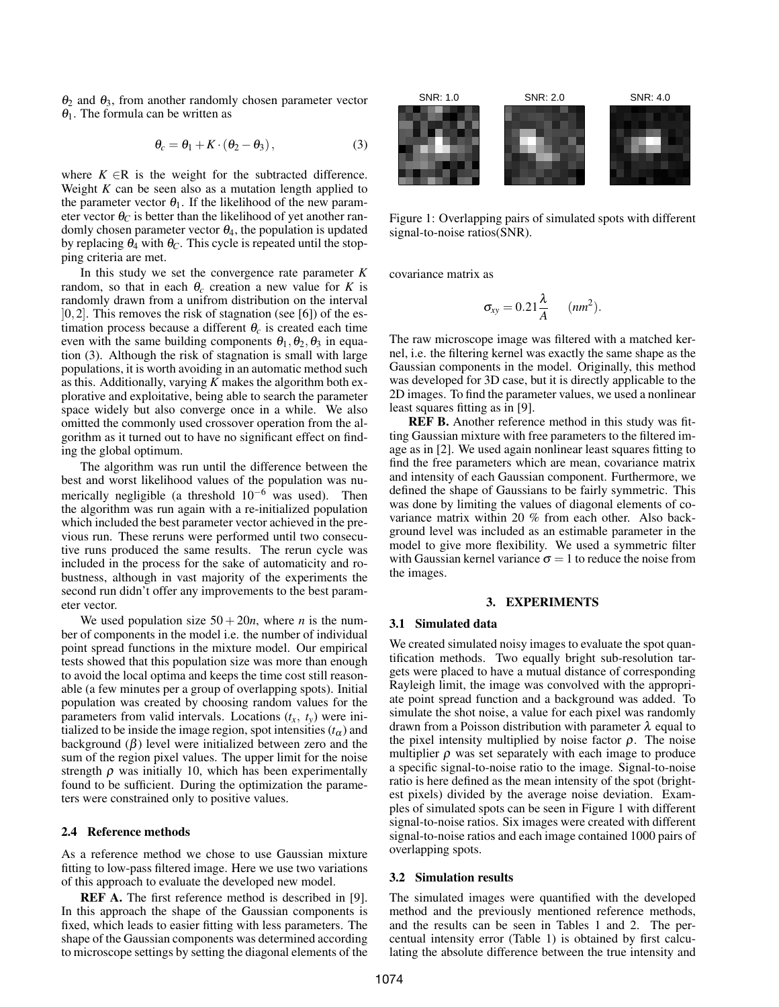$θ_2$  and  $θ_3$ , from another randomly chosen parameter vector  $\theta_1$ . The formula can be written as

$$
\theta_c = \theta_1 + K \cdot (\theta_2 - \theta_3), \tag{3}
$$

where  $K \in \mathbb{R}$  is the weight for the subtracted difference. Weight  $K$  can be seen also as a mutation length applied to the parameter vector  $\theta_1$ . If the likelihood of the new parameter vector  $\theta_C$  is better than the likelihood of yet another randomly chosen parameter vector  $\theta_4$ , the population is updated by replacing  $θ_4$  with  $θ_C$ . This cycle is repeated until the stopping criteria are met.

In this study we set the convergence rate parameter *K* random, so that in each  $\theta_c$  creation a new value for *K* is randomly drawn from a unifrom distribution on the interval  $[0,2]$ . This removes the risk of stagnation (see [6]) of the estimation process because a different  $\theta_c$  is created each time even with the same building components  $\theta_1, \theta_2, \theta_3$  in equation (3). Although the risk of stagnation is small with large populations, it is worth avoiding in an automatic method such as this. Additionally, varying *K* makes the algorithm both explorative and exploitative, being able to search the parameter space widely but also converge once in a while. We also omitted the commonly used crossover operation from the algorithm as it turned out to have no significant effect on finding the global optimum.

The algorithm was run until the difference between the best and worst likelihood values of the population was numerically negligible (a threshold  $10^{-6}$  was used). Then the algorithm was run again with a re-initialized population which included the best parameter vector achieved in the previous run. These reruns were performed until two consecutive runs produced the same results. The rerun cycle was included in the process for the sake of automaticity and robustness, although in vast majority of the experiments the second run didn't offer any improvements to the best parameter vector.

We used population size  $50 + 20n$ , where *n* is the number of components in the model i.e. the number of individual point spread functions in the mixture model. Our empirical tests showed that this population size was more than enough to avoid the local optima and keeps the time cost still reasonable (a few minutes per a group of overlapping spots). Initial population was created by choosing random values for the parameters from valid intervals. Locations  $(t<sub>x</sub>, t<sub>y</sub>)$  were initialized to be inside the image region, spot intensities  $(t_\alpha)$  and background  $(\beta)$  level were initialized between zero and the sum of the region pixel values. The upper limit for the noise strength  $\rho$  was initially 10, which has been experimentally found to be sufficient. During the optimization the parameters were constrained only to positive values.

## 2.4 Reference methods

As a reference method we chose to use Gaussian mixture fitting to low-pass filtered image. Here we use two variations of this approach to evaluate the developed new model.

REF A. The first reference method is described in [9]. In this approach the shape of the Gaussian components is fixed, which leads to easier fitting with less parameters. The shape of the Gaussian components was determined according to microscope settings by setting the diagonal elements of the



Figure 1: Overlapping pairs of simulated spots with different signal-to-noise ratios(SNR).

covariance matrix as

$$
\sigma_{xy}=0.21\frac{\lambda}{A} \qquad (nm^2).
$$

The raw microscope image was filtered with a matched kernel, i.e. the filtering kernel was exactly the same shape as the Gaussian components in the model. Originally, this method was developed for 3D case, but it is directly applicable to the 2D images. To find the parameter values, we used a nonlinear least squares fitting as in [9].

REF B. Another reference method in this study was fitting Gaussian mixture with free parameters to the filtered image as in [2]. We used again nonlinear least squares fitting to find the free parameters which are mean, covariance matrix and intensity of each Gaussian component. Furthermore, we defined the shape of Gaussians to be fairly symmetric. This was done by limiting the values of diagonal elements of covariance matrix within 20 % from each other. Also background level was included as an estimable parameter in the model to give more flexibility. We used a symmetric filter with Gaussian kernel variance  $\sigma = 1$  to reduce the noise from the images.

#### 3. EXPERIMENTS

#### 3.1 Simulated data

We created simulated noisy images to evaluate the spot quantification methods. Two equally bright sub-resolution targets were placed to have a mutual distance of corresponding Rayleigh limit, the image was convolved with the appropriate point spread function and a background was added. To simulate the shot noise, a value for each pixel was randomly drawn from a Poisson distribution with parameter  $\lambda$  equal to the pixel intensity multiplied by noise factor  $\rho$ . The noise multiplier  $\rho$  was set separately with each image to produce a specific signal-to-noise ratio to the image. Signal-to-noise ratio is here defined as the mean intensity of the spot (brightest pixels) divided by the average noise deviation. Examples of simulated spots can be seen in Figure 1 with different signal-to-noise ratios. Six images were created with different signal-to-noise ratios and each image contained 1000 pairs of overlapping spots.

#### 3.2 Simulation results

The simulated images were quantified with the developed method and the previously mentioned reference methods, and the results can be seen in Tables 1 and 2. The percentual intensity error (Table 1) is obtained by first calculating the absolute difference between the true intensity and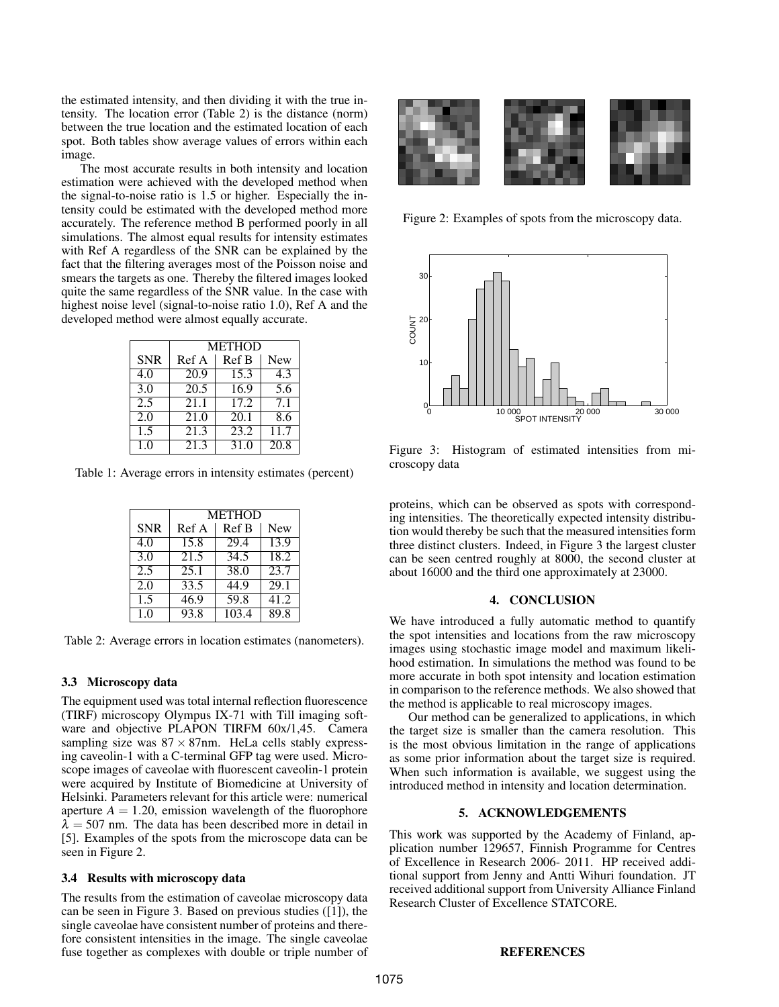the estimated intensity, and then dividing it with the true intensity. The location error (Table 2) is the distance (norm) between the true location and the estimated location of each spot. Both tables show average values of errors within each image.

The most accurate results in both intensity and location estimation were achieved with the developed method when the signal-to-noise ratio is 1.5 or higher. Especially the intensity could be estimated with the developed method more accurately. The reference method B performed poorly in all simulations. The almost equal results for intensity estimates with Ref A regardless of the SNR can be explained by the fact that the filtering averages most of the Poisson noise and smears the targets as one. Thereby the filtered images looked quite the same regardless of the SNR value. In the case with highest noise level (signal-to-noise ratio 1.0), Ref A and the developed method were almost equally accurate.

|                | <b>METHOD</b> |       |                   |  |
|----------------|---------------|-------|-------------------|--|
| <b>SNR</b>     | Ref A         | Ref B | <b>New</b>        |  |
| 4.0            | 20.9          | 15.3  | 4.3               |  |
| 3.0            | 20.5          | 16.9  | 5.6               |  |
| 2.5            | 21.1          | 17.2  | 7 <sub>1</sub>    |  |
| 2.0            | 21.0          | 20.1  | 8.6               |  |
| 1.5            | 21.3          | 23.2  | 11.7              |  |
| 1 <sub>0</sub> | 21.3          | 31.0  | $\overline{20.8}$ |  |

Table 1: Average errors in intensity estimates (percent)

|                | <b>METHOD</b> |       |            |
|----------------|---------------|-------|------------|
| <b>SNR</b>     | Ref A         | Ref B | <b>New</b> |
| 4.0            | 15.8          | 29.4  | 13.9       |
| 3.0            | 21.5          | 34.5  | 18.2       |
| 2.5            | 25.1          | 38.0  | 23.7       |
| 2.0            | 33.5          | 44.9  | 29.1       |
| 1.5            | 46.9          | 59.8  | 41.2       |
| 1 <sub>0</sub> | 93.8          | 103.4 | 89.8       |

Table 2: Average errors in location estimates (nanometers).

## 3.3 Microscopy data

The equipment used was total internal reflection fluorescence (TIRF) microscopy Olympus IX-71 with Till imaging software and objective PLAPON TIRFM 60x/1,45. Camera sampling size was  $87 \times 87$ nm. HeLa cells stably expressing caveolin-1 with a C-terminal GFP tag were used. Microscope images of caveolae with fluorescent caveolin-1 protein were acquired by Institute of Biomedicine at University of Helsinki. Parameters relevant for this article were: numerical aperture  $A = 1.20$ , emission wavelength of the fluorophore  $\lambda = 507$  nm. The data has been described more in detail in [5]. Examples of the spots from the microscope data can be seen in Figure 2.

## 3.4 Results with microscopy data

The results from the estimation of caveolae microscopy data can be seen in Figure 3. Based on previous studies ([1]), the single caveolae have consistent number of proteins and therefore consistent intensities in the image. The single caveolae fuse together as complexes with double or triple number of



Figure 2: Examples of spots from the microscopy data.



Figure 3: Histogram of estimated intensities from microscopy data

proteins, which can be observed as spots with corresponding intensities. The theoretically expected intensity distribution would thereby be such that the measured intensities form three distinct clusters. Indeed, in Figure 3 the largest cluster can be seen centred roughly at 8000, the second cluster at about 16000 and the third one approximately at 23000.

#### 4. CONCLUSION

We have introduced a fully automatic method to quantify the spot intensities and locations from the raw microscopy images using stochastic image model and maximum likelihood estimation. In simulations the method was found to be more accurate in both spot intensity and location estimation in comparison to the reference methods. We also showed that the method is applicable to real microscopy images.

Our method can be generalized to applications, in which the target size is smaller than the camera resolution. This is the most obvious limitation in the range of applications as some prior information about the target size is required. When such information is available, we suggest using the introduced method in intensity and location determination.

## 5. ACKNOWLEDGEMENTS

This work was supported by the Academy of Finland, application number 129657, Finnish Programme for Centres of Excellence in Research 2006- 2011. HP received additional support from Jenny and Antti Wihuri foundation. JT received additional support from University Alliance Finland Research Cluster of Excellence STATCORE.

## REFERENCES